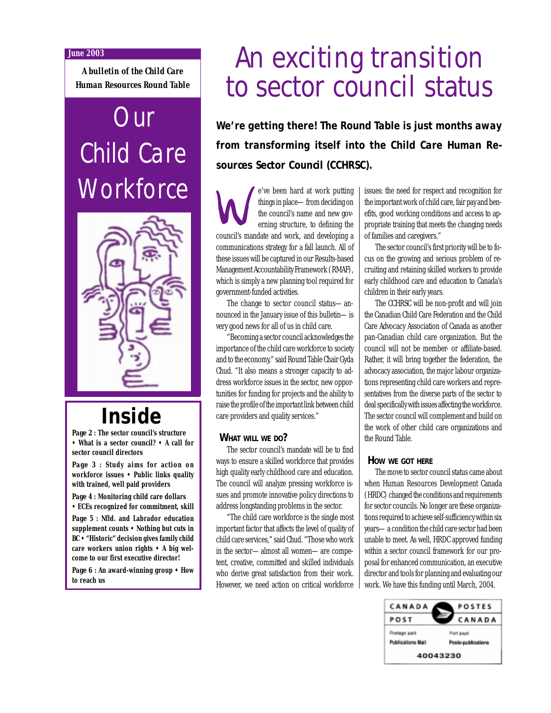#### **June 2003**

*A bulletin of the Child Care Human Resources Round Table*

# **Our** Child Care **Workforce**



## **Inside**

*Page 2* **: The sector council's structure • What is a sector council? • A call for sector council directors**

*Page 3* **: Study aims for action on workforce issues • Public links quality with trained, well paid providers**

*Page 4* **: Monitoring child care dollars • ECEs recognized for commitment, skill** *Page 5* **: Nfld. and Labrador education supplement counts • Nothing but cuts in BC • "Historic" decision gives family child care workers union rights • A big welcome to our first executive director!**

*Page 6* **: An award-winning group • How to reach us**

# An exciting transition to sector council status

**We're getting there! The Round Table is just months away from transforming itself into the Child Care Human Resources Sector Council (CCHRSC).**

e've been hard at work putting things in place—from deciding on the council's name and new governing structure, to defining the council's mandate and work, and developing a communications strategy for a fall launch. All of these issues will be captured in our Results-based Management Accountability Framework (RMAF), which is simply a new planning tool required for government-funded activities.

The change to sector council status—announced in the January issue of this bulletin—is very good news for all of us in child care.

"Becoming a sector council acknowledges the importance of the child care workforce to society and to the economy," said Round Table Chair Gyda Chud. "It also means a stronger capacity to address workforce issues in the sector, new opportunities for funding for projects and the ability to raise the profile of the important link between child care providers and quality services."

### **WHAT WILL WE DO?**

The sector council's mandate will be to find ways to ensure a skilled workforce that provides high quality early childhood care and education. The council will analyze pressing workforce issues and promote innovative policy directions to address longstanding problems in the sector.

"The child care workforce is the single most important factor that affects the level of quality of child care services," said Chud. "Those who work in the sector—almost all women—are competent, creative, committed and skilled individuals who derive great satisfaction from their work. However, we need action on critical workforce

issues: the need for respect and recognition for the important work of child care, fair pay and benefits, good working conditions and access to appropriate training that meets the changing needs of families and caregivers."

The sector council's first priority will be to focus on the growing and serious problem of recruiting and retaining skilled workers to provide early childhood care and education to Canada's children in their early years.

The CCHRSC will be non-profit and will join the Canadian Child Care Federation and the Child Care Advocacy Association of Canada as another pan-Canadian child care organization. But the council will not be member- or affiliate-based. Rather, it will bring together the federation, the advocacy association, the major labour organizations representing child care workers and representatives from the diverse parts of the sector to deal specifically with issues affecting the workforce. The sector council will complement and build on the work of other child care organizations and the Round Table.

### **HOW WE GOT HERE**

The move to sector council status came about when Human Resources Development Canada (HRDC) changed the conditions and requirements for sector councils. No longer are these organizations required to achieve self-sufficiency within six years—a condition the child care sector had been unable to meet. As well, HRDC approved funding within a sector council framework for our proposal for enhanced communication, an executive director and tools for planning and evaluating our work. We have this funding until March, 2004.

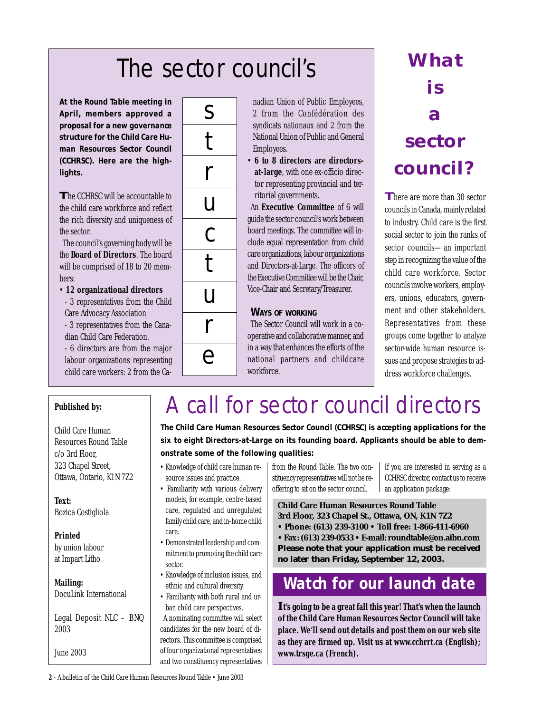# The sector council's **What**

**At the Round Table meeting in April, members approved a proposal for a new governance structure for the Child Care Human Resources Sector Council (CCHRSC). Here are the highlights.**

**The CCHRSC will be accountable to** the child care workforce and reflect the rich diversity and uniqueness of the sector.

The council's governing body will be the **Board of Directors**. The board will be comprised of 18 to 20 members:

- **12 organizational directors**
- 3 representatives from the Child Care Advocacy Association
- 3 representatives from the Canadian Child Care Federation.
- 6 directors are from the major labour organizations representing child care workers: 2 from the Ca-



nadian Union of Public Employees, 2 from the Confédération des syndicats nationaux and 2 from the National Union of Public and General Employees.

• **6 to 8 directors are directorsat-large**, with one ex-officio director representing provincial and territorial governments.

An **Executive Committee** of 6 will guide the sector council's work between board meetings. The committee will include equal representation from child care organizations, labour organizations and Directors-at-Large. The officers of the Executive Committee will be the Chair, Vice-Chair and Secretary/Treasurer.

### **WAYS OF WORKING**

The Sector Council will work in a cooperative and collaborative manner, and in a way that enhances the efforts of the national partners and childcare workforce.

# **is a sector council?**

**There are more than 30 sector** councils in Canada, mainly related to industry. Child care is the first social sector to join the ranks of sector councils—an important step in recognizing the value of the child care workforce. Sector councils involve workers, employers, unions, educators, government and other stakeholders. Representatives from these groups come together to analyze sector-wide human resource issues and propose strategies to address workforce challenges.

### **Published by:**

Child Care Human Resources Round Table c/o 3rd Floor, 323 Chapel Street, Ottawa, Ontario, K1N 7Z2

**Text:** Bozica Costigliola

**Printed** by union labour at Impart Litho

**Mailing:** DocuLink International

Legal Deposit NLC – BNQ

2003 June 2003

## A call for sector council directors

**The Child Care Human Resources Sector Council (CCHRSC) is accepting applications for the six to eight Directors-at-Large on its founding board. Applicants should be able to demonstrate some of the following qualities:**

- Knowledge of child care human resource issues and practice.
- Familiarity with various delivery models, for example, centre-based care, regulated and unregulated family child care, and in-home child care.
- Demonstrated leadership and commitment to promoting the child care sector.
- Knowledge of inclusion issues, and ethnic and cultural diversity.
- Familiarity with both rural and urban child care perspectives.

A nominating committee will select candidates for the new board of directors. This committee is comprised of four organizational representatives and two constituency representatives

from the Round Table. The two constituency representatives will not be reoffering to sit on the sector council.

If you are interested in serving as a CCHRSC director, contact us to receive an application package:

**Child Care Human Resources Round Table 3rd Floor, 323 Chapel St., Ottawa, ON, K1N 7Z2**

- **Phone: (613) 239-3100 Toll free: 1-866-411-6960**
- **Fax: (613) 239-0533 E-mail: roundtable@on.aibn.com**
- **Please note that your application must be received no later than Friday, September 12, 2003.**

### **Watch for our launch date**

**It's going to be a great fall this year! That's when the launch of the Child Care Human Resources Sector Council will take place. We'll send out details and post them on our web site as they are firmed up. Visit us at www.cchrrt.ca (English); www.trsge.ca (French).**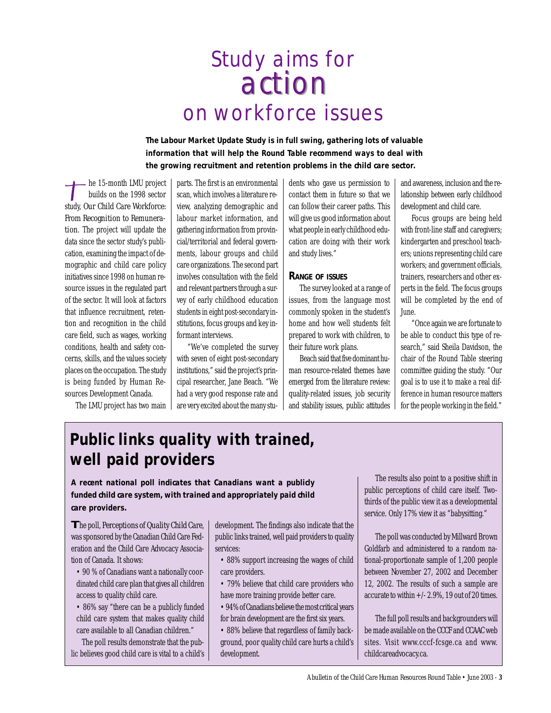## action action Study aims for on workforce issues

**The Labour Market Update Study is in full swing, gathering lots of valuable information that will help the Round Table recommend ways to deal with the growing recruitment and retention problems in the child care sector.**

- he 15-month LMU project builds on the 1998 sector study, *Our Child Care Workforce: From Recognition to Remuneration*. The project will update the data since the sector study's publication, examining the impact of demographic and child care policy initiatives since 1998 on human resource issues in the regulated part of the sector. It will look at factors that influence recruitment, retention and recognition in the child care field, such as wages, working conditions, health and safety concerns, skills, and the values society places on the occupation. The study is being funded by Human Resources Development Canada.

The LMU project has two main

parts. The first is an environmental scan, which involves a literature review, analyzing demographic and labour market information, and gathering information from provincial/territorial and federal governments, labour groups and child care organizations. The second part involves consultation with the field and relevant partners through a survey of early childhood education students in eight post-secondary institutions, focus groups and key informant interviews.

"We've completed the survey with seven of eight post-secondary institutions," said the project's principal researcher, Jane Beach. "We had a very good response rate and are very excited about the many students who gave us permission to contact them in future so that we can follow their career paths. This will give us good information about what people in early childhood education are doing with their work and study lives."

#### **RANGE OF ISSUES**

The survey looked at a range of issues, from the language most commonly spoken in the student's home and how well students felt prepared to work with children, to their future work plans.

Beach said that five dominant human resource-related themes have emerged from the literature review: quality-related issues, job security and stability issues, public attitudes and awareness, inclusion and the relationship between early childhood development and child care.

Focus groups are being held with front-line staff and caregivers; kindergarten and preschool teachers; unions representing child care workers; and government officials, trainers, researchers and other experts in the field. The focus groups will be completed by the end of June.

"Once again we are fortunate to be able to conduct this type of research," said Sheila Davidson, the chair of the Round Table steering committee guiding the study. "Our goal is to use it to make a real difference in human resource matters for the people working in the field."

### **Public links quality with trained, well paid providers**

**A recent national poll indicates that Canadians want a publicly funded child care system, with trained and appropriately paid child care providers.**

**T**he poll, *Perceptions of Quality Child Care*, was sponsored by the Canadian Child Care Federation and the Child Care Advocacy Association of Canada. It shows:

- 90 % of Canadians want a nationally coordinated child care plan that gives all children access to quality child care.
- 86% say "there can be a publicly funded child care system that makes quality child care available to all Canadian children."

The poll results demonstrate that the public believes good child care is vital to a child's development. The findings also indicate that the public links trained, well paid providers to quality services:

- 88% support increasing the wages of child care providers.
- 79% believe that child care providers who have more training provide better care.
- 94% of Canadians believe the most critical years for brain development are the first six years.
- 88% believe that regardless of family background, poor quality child care hurts a child's development.

The results also point to a positive shift in public perceptions of child care itself. Twothirds of the public view it as a developmental service. Only 17% view it as "babysitting."

The poll was conducted by Millward Brown Goldfarb and administered to a random national-proportionate sample of 1,200 people between November 27, 2002 and December 12, 2002. The results of such a sample are accurate to within  $+/- 2.9\%$ , 19 out of 20 times.

The full poll results and backgrounders will be made available on the CCCF and CCAAC web sites. Visit www.cccf-fcsge.ca and www. childcareadvocacy.ca.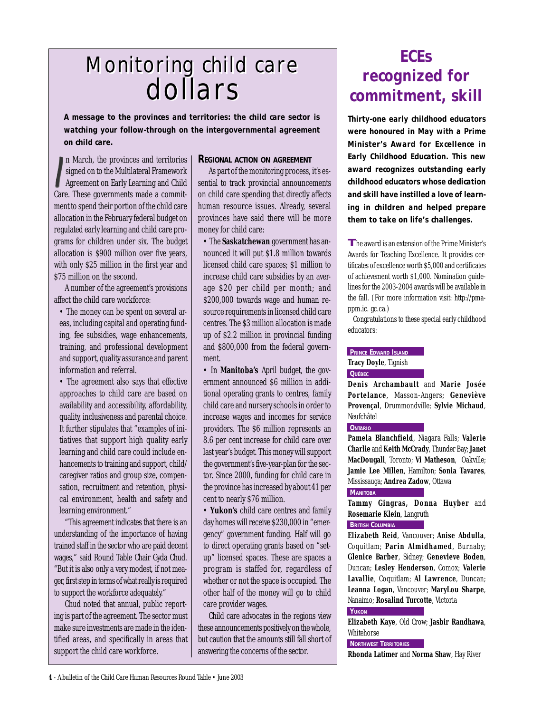## Monitoring child care Monitoring child care dollars dollars

**A message to the provinces and territories: the child care sector is watching your follow-through on the intergovernmental agreement on child care.**

n March, the provinces and territories signed on to the Multilateral Framework Agreement on Early Learning and Child Care. These governments made a commitment to spend their portion of the child care allocation in the February federal budget on regulated early learning and child care programs for children under six. The budget allocation is \$900 million over five years, with only \$25 million in the first year and \$75 million on the second.

A number of the agreement's provisions affect the child care workforce:

• The money can be spent on several areas, including capital and operating funding, fee subsidies, wage enhancements, training, and professional development and support, quality assurance and parent information and referral.

• The agreement also says that effective approaches to child care are based on availability and accessibility, affordability, quality, inclusiveness and parental choice. It further stipulates that "examples of initiatives that support high quality early learning and child care could include enhancements to training and support, child/ caregiver ratios and group size, compensation, recruitment and retention, physical environment, health and safety and learning environment."

"This agreement indicates that there is an understanding of the importance of having trained staff in the sector who are paid decent wages," said Round Table Chair Gyda Chud. "But it is also only a very modest, if not meager, first step in terms of what really is required to support the workforce adequately."

Chud noted that annual, public reporting is part of the agreement. The sector must make sure investments are made in the identified areas, and specifically in areas that support the child care workforce.

### **REGIONAL ACTION ON AGREEMENT**

As part of the monitoring process, it's essential to track provincial announcements on child care spending that directly affects human resource issues. Already, several provinces have said there will be more money for child care:

• The **Saskatchewan** government has announced it will put \$1.8 million towards licensed child care spaces; \$1 million to increase child care subsidies by an average \$20 per child per month; and \$200,000 towards wage and human resource requirements in licensed child care centres. The \$3 million allocation is made up of \$2.2 million in provincial funding and \$800,000 from the federal government.

• In **Manitoba's** April budget, the government announced \$6 million in additional operating grants to centres, family child care and nursery schools in order to increase wages and incomes for service providers. The \$6 million represents an 8.6 per cent increase for child care over last year's budget. This money will support the government's five-year-plan for the sector. Since 2000, funding for child care in the province has increased by about 41 per cent to nearly \$76 million.

• **Yukon's** child care centres and family day homes will receive \$230,000 in "emergency" government funding. Half will go to direct operating grants based on "setup" licensed spaces. These are spaces a program is staffed for, regardless of whether or not the space is occupied. The other half of the money will go to child care provider wages.

Child care advocates in the regions view these announcements positively on the whole, but caution that the amounts still fall short of answering the concerns of the sector.

### **ECEs recognized for commitment, skill**

**Thirty-one early childhood educators were honoured in May with a Prime Minister's Award for Excellence in Early Childhood Education. This new award recognizes outstanding early childhood educators whose dedication and skill have instilled a love of learning in children and helped prepare them to take on life's challenges.**

**T**he award is an extension of the Prime Minister's Awards for Teaching Excellence. It provides certificates of excellence worth \$5,000 and certificates of achievement worth \$1,000. Nomination guidelines for the 2003-2004 awards will be available in the fall. (For more information visit: http://pmappm.ic. gc.ca.)

Congratulations to these special early childhood educators:

#### **PRINCE EDWARD ISLAND**

**Tracy Doyle**, Tignish **QUÉBEC**

**Denis Archambault** and **Marie Josée Portelance**, Masson-Angers; **Geneviève Provençal**, Drummondville; **Sylvie Michaud**, Neufchâtel

### **ONTARIO**

**Pamela Blanchfield**, Niagara Falls; **Valerie Charlie** and **Keith McCrady**, Thunder Bay; **Janet MacDougall**, Toronto; **Vi Matheson**, Oakville; **Jamie Lee Millen**, Hamilton; **Sonia Tavares**, Mississauga; **Andrea Zadow**, Ottawa

#### **MANITOBA**

**Tammy Gingras, Donna Huyber** and **Rosemarie Klein**, Langruth

### **BRITISH COLUMBIA**

**Elizabeth Reid**, Vancouver; **Anise Abdulla**, Coquitlam; **Parin Almidhamed**, Burnaby; **Glenice Barber**, Sidney; **Genevieve Boden**, Duncan; **Lesley Henderson**, Comox; **Valerie Lavallie**, Coquitlam; **Al Lawrence**, Duncan; **Leanna Logan**, Vancouver; **MaryLou Sharpe**, Nanaimo; **Rosalind Turcotte**, Victoria

### **YUKON**

**Elizabeth Kaye**, Old Crow; **Jasbir Randhawa**, Whitehorse

**NORTHWEST TERRITORIES**

**Rhonda Latimer** and **Norma Shaw**, Hay River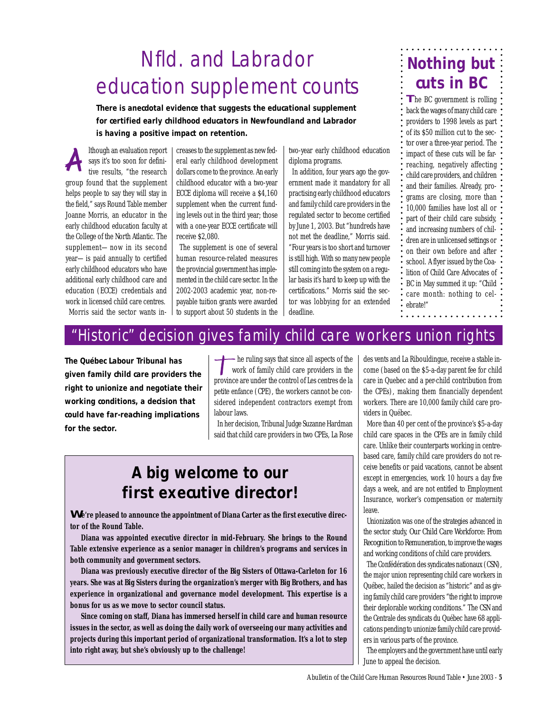## Nfld. and Labrador education supplement counts

**There is anecdotal evidence that suggests the educational supplement for certified early childhood educators in Newfoundland and Labrador is having a positive impact on retention.**

lthough an evaluation report says it's too soon for definitive results, "the research group found that the supplement helps people to say they will stay in the field," says Round Table member Joanne Morris, an educator in the early childhood education faculty at the College of the North Atlantic. The supplement—now in its second year—is paid annually to certified early childhood educators who have additional early childhood care and education (ECCE) credentials and work in licensed child care centres. Morris said the sector wants in-

creases to the supplement as new federal early childhood development dollars come to the province. An early childhood educator with a two-year ECCE diploma will receive a \$4,160 supplement when the current funding levels out in the third year; those with a one-year ECCE certificate will receive \$2,080.

The supplement is one of several human resource-related measures the provincial government has implemented in the child care sector. In the 2002-2003 academic year, non-repayable tuition grants were awarded to support about 50 students in the two-year early childhood education diploma programs.

In addition, four years ago the government made it mandatory for all practising early childhood educators and family child care providers in the regulated sector to become certified by June 1, 2003. But "hundreds have not met the deadline," Morris said. "Four years is too short and turnover is still high. With so many new people still coming into the system on a regular basis it's hard to keep up with the certifications." Morris said the sector was lobbying for an extended deadline.

## **Nothing but cuts in BC**

**The BC government is rolling** back the wages of many child care providers to 1998 levels as part of its \$50 million cut to the sector over a three-year period. The impact of these cuts will be farreaching, negatively affecting child care providers, and children and their families. Already, programs are closing, more than 10,000 families have lost all or part of their child care subsidy, and increasing numbers of children are in unlicensed settings or on their own before and after school. A flyer issued by the Coalition of Child Care Advocates of BC in May summed it up: "Child care month: nothing to celebrate!"

### "Historic" decision gives family child care workers union rights

**The Québec Labour Tribunal has given family child care providers the right to unionize and negotiate their working conditions, a decision that could have far-reaching implications for the sector.**

he ruling says that since all aspects of the work of family child care providers in the province are under the control of Les centres de la petite enfance (CPE), the workers cannot be considered independent contractors exempt from labour laws.

In her decision, Tribunal Judge Suzanne Hardman said that child care providers in two CPEs, La Rose

### **A big welcome to our first executive director!**

**We're pleased to announce the appointment of Diana Carter as the first executive director of the Round Table.**

**Diana was appointed executive director in mid-February. She brings to the Round Table extensive experience as a senior manager in children's programs and services in both community and government sectors.**

**Diana was previously executive director of the Big Sisters of Ottawa-Carleton for 16 years. She was at Big Sisters during the organization's merger with Big Brothers, and has experience in organizational and governance model development. This expertise is a bonus for us as we move to sector council status.**

**Since coming on staff, Diana has immersed herself in child care and human resource issues in the sector, as well as doing the daily work of overseeing our many activities and projects during this important period of organizational transformation. It's a lot to step into right away, but she's obviously up to the challenge!**

des vents and La Ribouldingue, receive a stable income (based on the \$5-a-day parent fee for child care in Quebec and a per-child contribution from the CPEs), making them financially dependent workers. There are 10,000 family child care providers in Québec.

More than 40 per cent of the province's \$5-a-day child care spaces in the CPEs are in family child care. Unlike their counterparts working in centrebased care, family child care providers do not receive benefits or paid vacations, cannot be absent except in emergencies, work 10 hours a day five days a week, and are not entitled to Employment Insurance, worker's compensation or maternity leave.

Unionization was one of the strategies advanced in the sector study, *Our Child Care Workforce: From Recognition to Remuneration*, to improve the wages and working conditions of child care providers.

The Confédération des syndicates nationaux (CSN), the major union representing child care workers in Québec, hailed the decision as "historic" and as giving family child care providers "the right to improve their deplorable working conditions." The CSN and the Centrale des syndicats du Québec have 68 applications pending to unionize family child care providers in various parts of the province.

The employers and the government have until early June to appeal the decision.